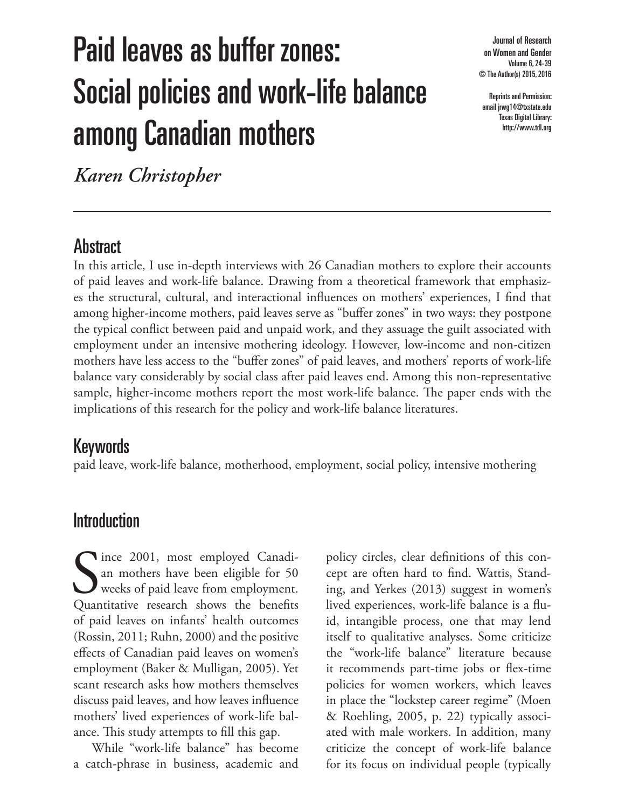# Paid leaves as buffer zones: Social policies and work-life balance among Canadian mothers

Journal of Research on Women and Gender Volume 6, 24-39 © The Author(s) 2015, 2016

Reprints and Permission: email jrwg14@txstate.edu Texas Digital Library: http://www.tdl.org

*Karen Christopher*

# **Abstract**

In this article, I use in-depth interviews with 26 Canadian mothers to explore their accounts of paid leaves and work-life balance. Drawing from a theoretical framework that emphasizes the structural, cultural, and interactional influences on mothers' experiences, I find that among higher-income mothers, paid leaves serve as "buffer zones" in two ways: they postpone the typical conflict between paid and unpaid work, and they assuage the guilt associated with employment under an intensive mothering ideology. However, low-income and non-citizen mothers have less access to the "buffer zones" of paid leaves, and mothers' reports of work-life balance vary considerably by social class after paid leaves end. Among this non-representative sample, higher-income mothers report the most work-life balance. The paper ends with the implications of this research for the policy and work-life balance literatures.

### Keywords

paid leave, work-life balance, motherhood, employment, social policy, intensive mothering

### Introduction

Since 2001, most employed Canadi-<br>
an mothers have been eligible for 50<br>
weeks of paid leave from employment.<br>
Quantitative research shows the benefits an mothers have been eligible for 50 weeks of paid leave from employment. Quantitative research shows the benefits of paid leaves on infants' health outcomes (Rossin, 2011; Ruhn, 2000) and the positive effects of Canadian paid leaves on women's employment (Baker & Mulligan, 2005). Yet scant research asks how mothers themselves discuss paid leaves, and how leaves influence mothers' lived experiences of work-life balance. This study attempts to fill this gap.

While "work-life balance" has become a catch-phrase in business, academic and

policy circles, clear definitions of this concept are often hard to find. Wattis, Standing, and Yerkes (2013) suggest in women's lived experiences, work-life balance is a fluid, intangible process, one that may lend itself to qualitative analyses. Some criticize the "work-life balance" literature because it recommends part-time jobs or flex-time policies for women workers, which leaves in place the "lockstep career regime" (Moen & Roehling, 2005, p. 22) typically associated with male workers. In addition, many criticize the concept of work-life balance for its focus on individual people (typically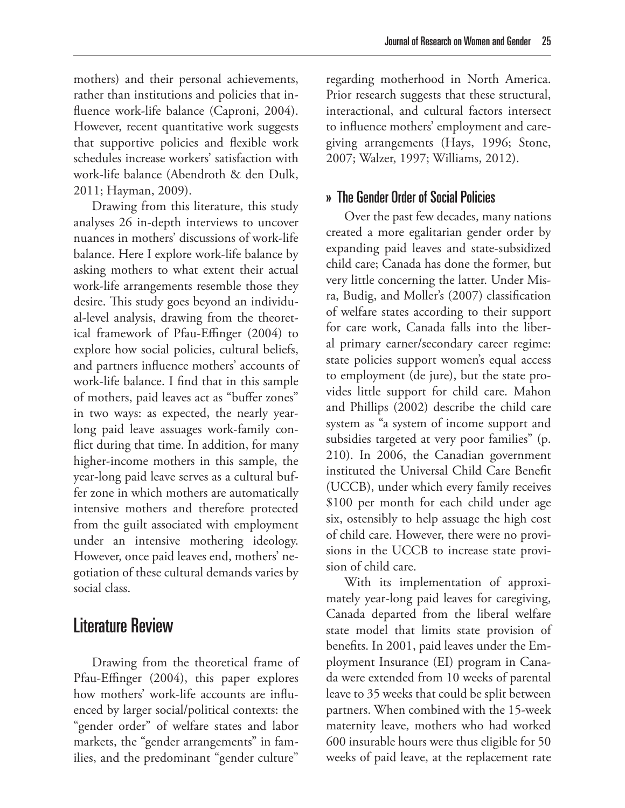mothers) and their personal achievements, rather than institutions and policies that influence work-life balance (Caproni, 2004). However, recent quantitative work suggests that supportive policies and flexible work schedules increase workers' satisfaction with work-life balance (Abendroth & den Dulk, 2011; Hayman, 2009).

Drawing from this literature, this study analyses 26 in-depth interviews to uncover nuances in mothers' discussions of work-life balance. Here I explore work-life balance by asking mothers to what extent their actual work-life arrangements resemble those they desire. This study goes beyond an individual-level analysis, drawing from the theoretical framework of Pfau-Effinger (2004) to explore how social policies, cultural beliefs, and partners influence mothers' accounts of work-life balance. I find that in this sample of mothers, paid leaves act as "buffer zones" in two ways: as expected, the nearly yearlong paid leave assuages work-family conflict during that time. In addition, for many higher-income mothers in this sample, the year-long paid leave serves as a cultural buffer zone in which mothers are automatically intensive mothers and therefore protected from the guilt associated with employment under an intensive mothering ideology. However, once paid leaves end, mothers' negotiation of these cultural demands varies by social class.

# Literature Review

Drawing from the theoretical frame of Pfau-Effinger (2004), this paper explores how mothers' work-life accounts are influenced by larger social/political contexts: the "gender order" of welfare states and labor markets, the "gender arrangements" in families, and the predominant "gender culture"

regarding motherhood in North America. Prior research suggests that these structural, interactional, and cultural factors intersect to influence mothers' employment and caregiving arrangements (Hays, 1996; Stone, 2007; Walzer, 1997; Williams, 2012).

#### » The Gender Order of Social Policies

Over the past few decades, many nations created a more egalitarian gender order by expanding paid leaves and state-subsidized child care; Canada has done the former, but very little concerning the latter. Under Misra, Budig, and Moller's (2007) classification of welfare states according to their support for care work, Canada falls into the liberal primary earner/secondary career regime: state policies support women's equal access to employment (de jure), but the state provides little support for child care. Mahon and Phillips (2002) describe the child care system as "a system of income support and subsidies targeted at very poor families" (p. 210). In 2006, the Canadian government instituted the Universal Child Care Benefit (UCCB), under which every family receives \$100 per month for each child under age six, ostensibly to help assuage the high cost of child care. However, there were no provisions in the UCCB to increase state provision of child care.

With its implementation of approximately year-long paid leaves for caregiving, Canada departed from the liberal welfare state model that limits state provision of benefits. In 2001, paid leaves under the Employment Insurance (EI) program in Canada were extended from 10 weeks of parental leave to 35 weeks that could be split between partners. When combined with the 15-week maternity leave, mothers who had worked 600 insurable hours were thus eligible for 50 weeks of paid leave, at the replacement rate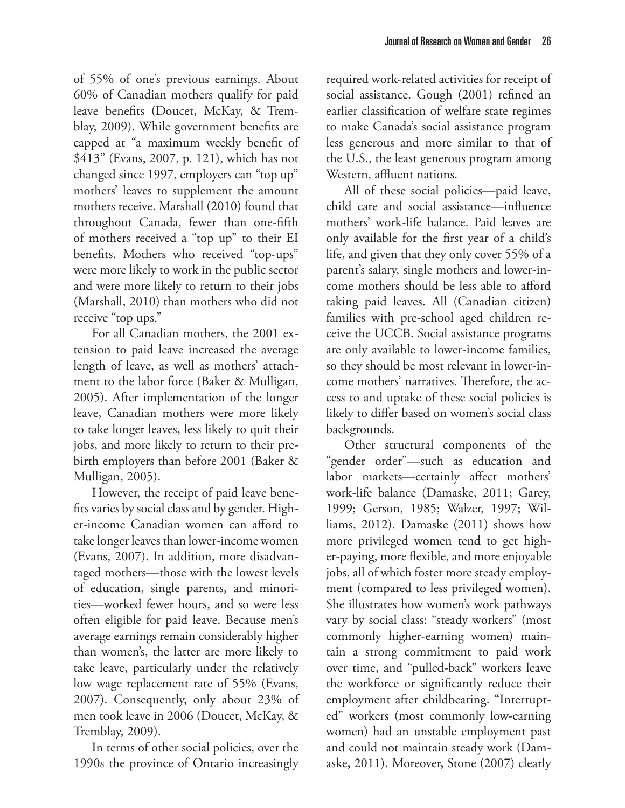of 55% of one's previous earnings. About 60% of Canadian mothers qualify for paid leave benefits (Doucet, McKay, & Tremblay, 2009). While government benefits are capped at "a maximum weekly benefit of \$413" (Evans, 2007, p. 121), which has not changed since 1997, employers can "top up"

mothers' leaves to supplement the amount mothers receive. Marshall (2010) found that throughout Canada, fewer than one-fifth of mothers received a "top up" to their EI benefits. Mothers who received "top-ups" were more likely to work in the public sector and were more likely to return to their jobs (Marshall, 2010) than mothers who did not receive "top ups."

For all Canadian mothers, the 2001 extension to paid leave increased the average length of leave, as well as mothers' attachment to the labor force (Baker & Mulligan, 2005). After implementation of the longer leave, Canadian mothers were more likely to take longer leaves, less likely to quit their jobs, and more likely to return to their prebirth employers than before 2001 (Baker & Mulligan, 2005).

However, the receipt of paid leave benefits varies by social class and by gender. Higher-income Canadian women can afford to take longer leaves than lower-income women (Evans, 2007). In addition, more disadvantaged mothers—those with the lowest levels of education, single parents, and minorities—worked fewer hours, and so were less often eligible for paid leave. Because men's average earnings remain considerably higher than women's, the latter are more likely to take leave, particularly under the relatively low wage replacement rate of 55% (Evans, 2007). Consequently, only about 23% of men took leave in 2006 (Doucet, McKay, & Tremblay, 2009).

In terms of other social policies, over the 1990s the province of Ontario increasingly

required work-related activities for receipt of social assistance. Gough (2001) refined an earlier classification of welfare state regimes to make Canada's social assistance program less generous and more similar to that of the U.S., the least generous program among Western, affluent nations.

All of these social policies—paid leave, child care and social assistance—influence mothers' work-life balance. Paid leaves are only available for the first year of a child's life, and given that they only cover 55% of a parent's salary, single mothers and lower-income mothers should be less able to afford taking paid leaves. All (Canadian citizen) families with pre-school aged children receive the UCCB. Social assistance programs are only available to lower-income families, so they should be most relevant in lower-income mothers' narratives. Therefore, the access to and uptake of these social policies is likely to differ based on women's social class backgrounds.

Other structural components of the "gender order"—such as education and labor markets—certainly affect mothers' work-life balance (Damaske, 2011; Garey, 1999; Gerson, 1985; Walzer, 1997; Williams, 2012). Damaske (2011) shows how more privileged women tend to get higher-paying, more flexible, and more enjoyable jobs, all of which foster more steady employment (compared to less privileged women). She illustrates how women's work pathways vary by social class: "steady workers" (most commonly higher-earning women) maintain a strong commitment to paid work over time, and "pulled-back" workers leave the workforce or significantly reduce their employment after childbearing. "Interrupted" workers (most commonly low-earning women) had an unstable employment past and could not maintain steady work (Damaske, 2011). Moreover, Stone (2007) clearly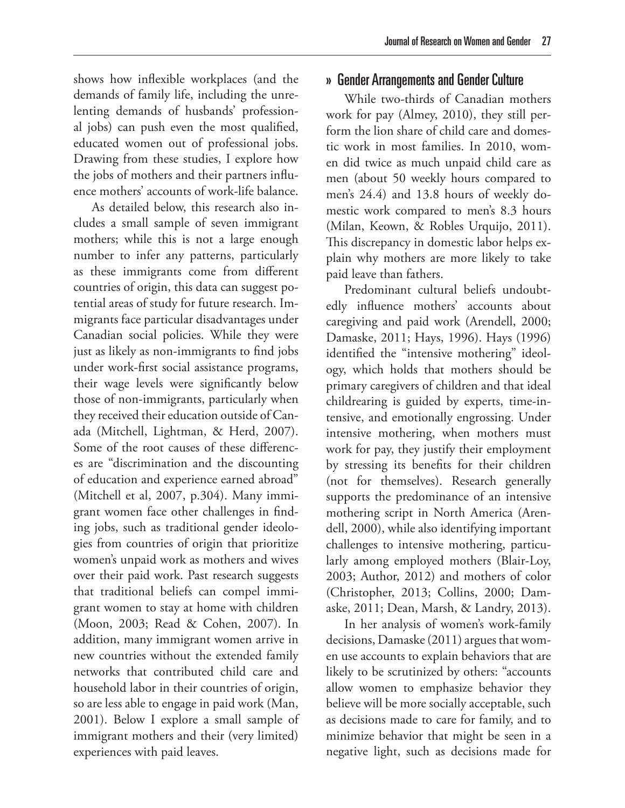shows how inflexible workplaces (and the demands of family life, including the unrelenting demands of husbands' professional jobs) can push even the most qualified, educated women out of professional jobs. Drawing from these studies, I explore how the jobs of mothers and their partners influence mothers' accounts of work-life balance.

As detailed below, this research also includes a small sample of seven immigrant mothers; while this is not a large enough number to infer any patterns, particularly as these immigrants come from different countries of origin, this data can suggest potential areas of study for future research. Immigrants face particular disadvantages under Canadian social policies. While they were just as likely as non-immigrants to find jobs under work-first social assistance programs, their wage levels were significantly below those of non-immigrants, particularly when they received their education outside of Canada (Mitchell, Lightman, & Herd, 2007). Some of the root causes of these differences are "discrimination and the discounting of education and experience earned abroad" (Mitchell et al, 2007, p.304). Many immigrant women face other challenges in finding jobs, such as traditional gender ideologies from countries of origin that prioritize women's unpaid work as mothers and wives over their paid work. Past research suggests that traditional beliefs can compel immigrant women to stay at home with children (Moon, 2003; Read & Cohen, 2007). In addition, many immigrant women arrive in new countries without the extended family networks that contributed child care and household labor in their countries of origin, so are less able to engage in paid work (Man, 2001). Below I explore a small sample of immigrant mothers and their (very limited) experiences with paid leaves.

#### » Gender Arrangements and Gender Culture

While two-thirds of Canadian mothers work for pay (Almey, 2010), they still perform the lion share of child care and domestic work in most families. In 2010, women did twice as much unpaid child care as men (about 50 weekly hours compared to men's 24.4) and 13.8 hours of weekly domestic work compared to men's 8.3 hours (Milan, Keown, & Robles Urquijo, 2011). This discrepancy in domestic labor helps explain why mothers are more likely to take paid leave than fathers.

Predominant cultural beliefs undoubtedly influence mothers' accounts about caregiving and paid work (Arendell, 2000; Damaske, 2011; Hays, 1996). Hays (1996) identified the "intensive mothering" ideology, which holds that mothers should be primary caregivers of children and that ideal childrearing is guided by experts, time-intensive, and emotionally engrossing. Under intensive mothering, when mothers must work for pay, they justify their employment by stressing its benefits for their children (not for themselves). Research generally supports the predominance of an intensive mothering script in North America (Arendell, 2000), while also identifying important challenges to intensive mothering, particularly among employed mothers (Blair-Loy, 2003; Author, 2012) and mothers of color (Christopher, 2013; Collins, 2000; Damaske, 2011; Dean, Marsh, & Landry, 2013).

In her analysis of women's work-family decisions, Damaske (2011) argues that women use accounts to explain behaviors that are likely to be scrutinized by others: "accounts allow women to emphasize behavior they believe will be more socially acceptable, such as decisions made to care for family, and to minimize behavior that might be seen in a negative light, such as decisions made for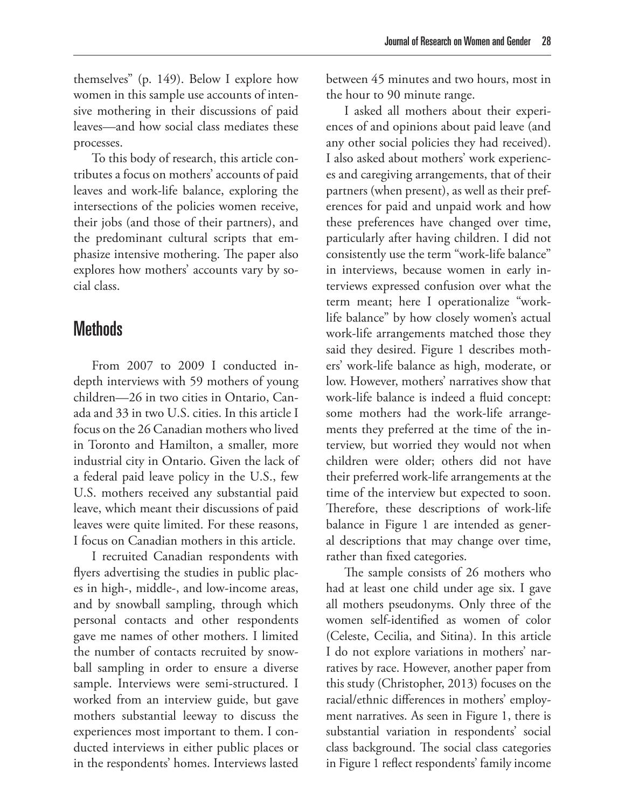themselves" (p. 149). Below I explore how women in this sample use accounts of intensive mothering in their discussions of paid leaves—and how social class mediates these processes.

To this body of research, this article contributes a focus on mothers' accounts of paid leaves and work-life balance, exploring the intersections of the policies women receive, their jobs (and those of their partners), and the predominant cultural scripts that emphasize intensive mothering. The paper also explores how mothers' accounts vary by social class.

# **Methods**

From 2007 to 2009 I conducted indepth interviews with 59 mothers of young children—26 in two cities in Ontario, Canada and 33 in two U.S. cities. In this article I focus on the 26 Canadian mothers who lived in Toronto and Hamilton, a smaller, more industrial city in Ontario. Given the lack of a federal paid leave policy in the U.S., few U.S. mothers received any substantial paid leave, which meant their discussions of paid leaves were quite limited. For these reasons, I focus on Canadian mothers in this article.

I recruited Canadian respondents with flyers advertising the studies in public places in high-, middle-, and low-income areas, and by snowball sampling, through which personal contacts and other respondents gave me names of other mothers. I limited the number of contacts recruited by snowball sampling in order to ensure a diverse sample. Interviews were semi-structured. I worked from an interview guide, but gave mothers substantial leeway to discuss the experiences most important to them. I conducted interviews in either public places or in the respondents' homes. Interviews lasted between 45 minutes and two hours, most in the hour to 90 minute range.

I asked all mothers about their experiences of and opinions about paid leave (and any other social policies they had received). I also asked about mothers' work experiences and caregiving arrangements, that of their partners (when present), as well as their preferences for paid and unpaid work and how these preferences have changed over time, particularly after having children. I did not consistently use the term "work-life balance" in interviews, because women in early interviews expressed confusion over what the term meant; here I operationalize "worklife balance" by how closely women's actual work-life arrangements matched those they said they desired. Figure 1 describes mothers' work-life balance as high, moderate, or low. However, mothers' narratives show that work-life balance is indeed a fluid concept: some mothers had the work-life arrangements they preferred at the time of the interview, but worried they would not when children were older; others did not have their preferred work-life arrangements at the time of the interview but expected to soon. Therefore, these descriptions of work-life balance in Figure 1 are intended as general descriptions that may change over time, rather than fixed categories.

The sample consists of 26 mothers who had at least one child under age six. I gave all mothers pseudonyms. Only three of the women self-identified as women of color (Celeste, Cecilia, and Sitina). In this article I do not explore variations in mothers' narratives by race. However, another paper from this study (Christopher, 2013) focuses on the racial/ethnic differences in mothers' employment narratives. As seen in Figure 1, there is substantial variation in respondents' social class background. The social class categories in Figure 1 reflect respondents' family income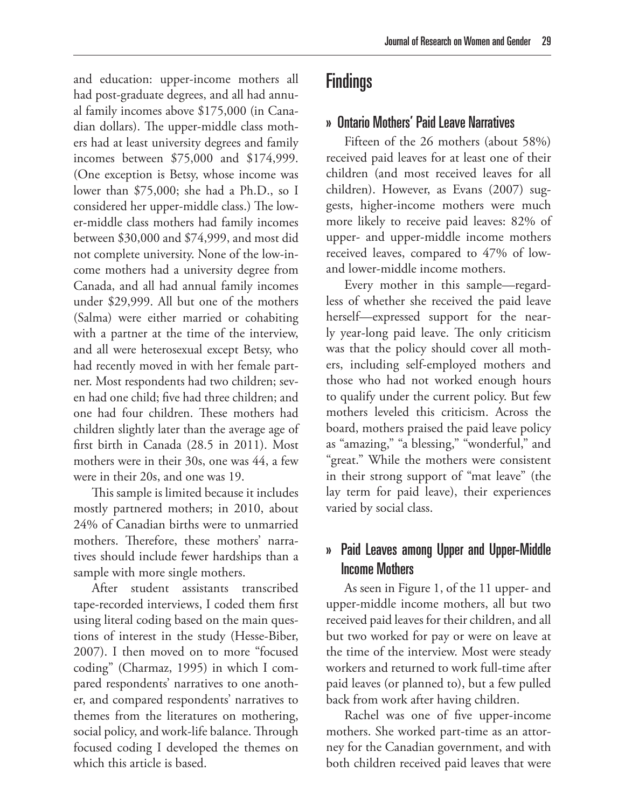#### » Ontario Mothers' Paid Leave Narratives

Fifteen of the 26 mothers (about 58%) received paid leaves for at least one of their children (and most received leaves for all children). However, as Evans (2007) suggests, higher-income mothers were much more likely to receive paid leaves: 82% of upper- and upper-middle income mothers received leaves, compared to 47% of lowand lower-middle income mothers.

Every mother in this sample—regardless of whether she received the paid leave herself—expressed support for the nearly year-long paid leave. The only criticism was that the policy should cover all mothers, including self-employed mothers and those who had not worked enough hours to qualify under the current policy. But few mothers leveled this criticism. Across the board, mothers praised the paid leave policy as "amazing," "a blessing," "wonderful," and "great." While the mothers were consistent in their strong support of "mat leave" (the lay term for paid leave), their experiences varied by social class.

#### » Paid Leaves among Upper and Upper-Middle Income Mothers

As seen in Figure 1, of the 11 upper- and upper-middle income mothers, all but two received paid leaves for their children, and all but two worked for pay or were on leave at the time of the interview. Most were steady workers and returned to work full-time after paid leaves (or planned to), but a few pulled back from work after having children.

Rachel was one of five upper-income mothers. She worked part-time as an attorney for the Canadian government, and with both children received paid leaves that were

and education: upper-income mothers all had post-graduate degrees, and all had annual family incomes above \$175,000 (in Canadian dollars). The upper-middle class mothers had at least university degrees and family incomes between \$75,000 and \$174,999. (One exception is Betsy, whose income was lower than \$75,000; she had a Ph.D., so I considered her upper-middle class.) The lower-middle class mothers had family incomes between \$30,000 and \$74,999, and most did not complete university. None of the low-income mothers had a university degree from Canada, and all had annual family incomes under \$29,999. All but one of the mothers (Salma) were either married or cohabiting with a partner at the time of the interview, and all were heterosexual except Betsy, who had recently moved in with her female partner. Most respondents had two children; seven had one child; five had three children; and one had four children. These mothers had children slightly later than the average age of first birth in Canada (28.5 in 2011). Most mothers were in their 30s, one was 44, a few were in their 20s, and one was 19.

This sample is limited because it includes mostly partnered mothers; in 2010, about 24% of Canadian births were to unmarried mothers. Therefore, these mothers' narratives should include fewer hardships than a sample with more single mothers.

After student assistants transcribed tape-recorded interviews, I coded them first using literal coding based on the main questions of interest in the study (Hesse-Biber, 2007). I then moved on to more "focused coding" (Charmaz, 1995) in which I compared respondents' narratives to one another, and compared respondents' narratives to themes from the literatures on mothering, social policy, and work-life balance. Through focused coding I developed the themes on which this article is based.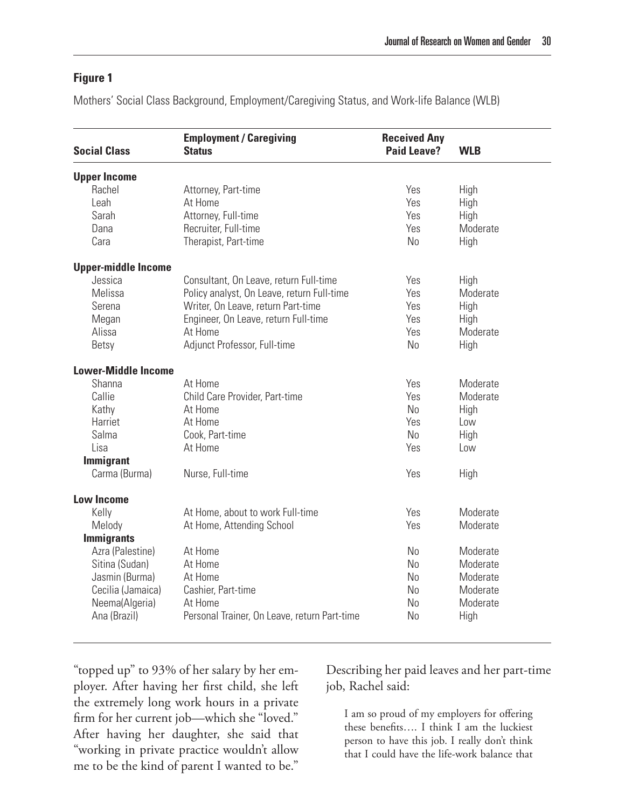#### **Figure 1**

Mothers' Social Class Background, Employment/Caregiving Status, and Work-life Balance (WLB)

| <b>Social Class</b>        | <b>Employment / Caregiving</b><br><b>Status</b> | <b>Received Any</b><br><b>Paid Leave?</b> | <b>WLB</b> |
|----------------------------|-------------------------------------------------|-------------------------------------------|------------|
| <b>Upper Income</b>        |                                                 |                                           |            |
| Rachel                     | Attorney, Part-time                             | Yes                                       | High       |
| Leah                       | At Home                                         | Yes                                       | High       |
| Sarah                      | Attorney, Full-time                             | Yes                                       | High       |
| Dana                       | Recruiter, Full-time                            | Yes                                       | Moderate   |
| Cara                       | Therapist, Part-time                            | N <sub>o</sub>                            | High       |
| <b>Upper-middle Income</b> |                                                 |                                           |            |
| Jessica                    | Consultant, On Leave, return Full-time          | Yes                                       | High       |
| Melissa                    | Policy analyst, On Leave, return Full-time      | Yes                                       | Moderate   |
| Serena                     | Writer, On Leave, return Part-time              | Yes                                       | High       |
| Megan                      | Engineer, On Leave, return Full-time            | Yes                                       | High       |
| Alissa                     | At Home                                         | Yes                                       | Moderate   |
| Betsy                      | Adjunct Professor, Full-time                    | N <sub>0</sub>                            | High       |
| <b>Lower-Middle Income</b> |                                                 |                                           |            |
| Shanna                     | At Home                                         | Yes                                       | Moderate   |
| Callie                     | Child Care Provider, Part-time                  | Yes                                       | Moderate   |
| Kathy                      | At Home                                         | N <sub>o</sub>                            | High       |
| Harriet                    | At Home                                         | Yes                                       | Low        |
| Salma                      | Cook, Part-time                                 | No                                        | High       |
| Lisa                       | At Home                                         | Yes                                       | Low        |
| <b>Immigrant</b>           |                                                 |                                           |            |
| Carma (Burma)              | Nurse, Full-time                                | Yes                                       | High       |
| <b>Low Income</b>          |                                                 |                                           |            |
| Kelly                      | At Home, about to work Full-time                | Yes                                       | Moderate   |
| Melody                     | At Home, Attending School                       | Yes                                       | Moderate   |
| <b>Immigrants</b>          |                                                 |                                           |            |
| Azra (Palestine)           | At Home                                         | <b>No</b>                                 | Moderate   |
| Sitina (Sudan)             | At Home                                         | N <sub>o</sub>                            | Moderate   |
| Jasmin (Burma)             | At Home                                         | <b>No</b>                                 | Moderate   |
| Cecilia (Jamaica)          | Cashier, Part-time                              | <b>No</b>                                 | Moderate   |
| Neema(Algeria)             | At Home                                         | <b>No</b>                                 | Moderate   |
| Ana (Brazil)               | Personal Trainer, On Leave, return Part-time    | <b>No</b>                                 | High       |

"topped up" to 93% of her salary by her employer. After having her first child, she left the extremely long work hours in a private firm for her current job—which she "loved." After having her daughter, she said that "working in private practice wouldn't allow me to be the kind of parent I wanted to be."

Describing her paid leaves and her part-time job, Rachel said:

I am so proud of my employers for offering these benefits…. I think I am the luckiest person to have this job. I really don't think that I could have the life-work balance that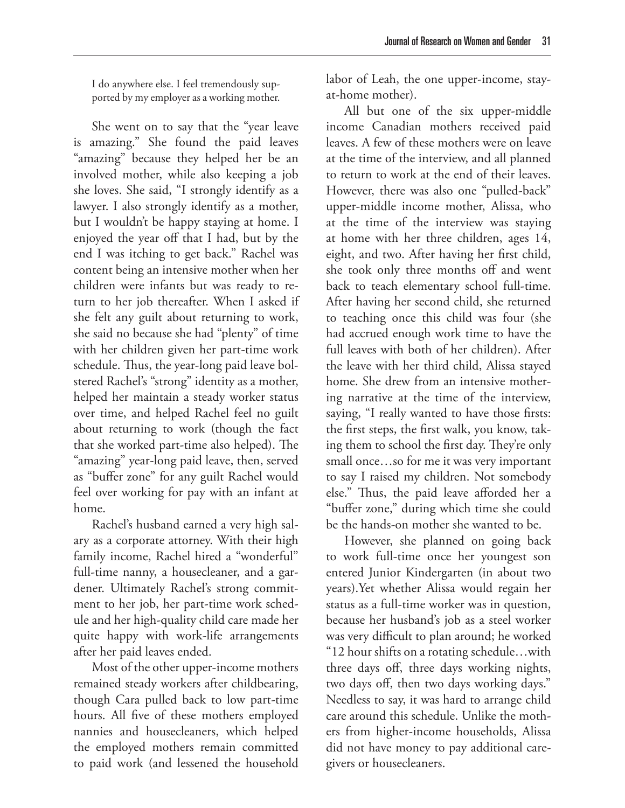I do anywhere else. I feel tremendously supported by my employer as a working mother.

She went on to say that the "year leave is amazing." She found the paid leaves "amazing" because they helped her be an involved mother, while also keeping a job she loves. She said, "I strongly identify as a lawyer. I also strongly identify as a mother, but I wouldn't be happy staying at home. I enjoyed the year off that I had, but by the end I was itching to get back." Rachel was content being an intensive mother when her children were infants but was ready to return to her job thereafter. When I asked if she felt any guilt about returning to work, she said no because she had "plenty" of time with her children given her part-time work schedule. Thus, the year-long paid leave bolstered Rachel's "strong" identity as a mother, helped her maintain a steady worker status over time, and helped Rachel feel no guilt about returning to work (though the fact that she worked part-time also helped). The "amazing" year-long paid leave, then, served as "buffer zone" for any guilt Rachel would feel over working for pay with an infant at home.

Rachel's husband earned a very high salary as a corporate attorney. With their high family income, Rachel hired a "wonderful" full-time nanny, a housecleaner, and a gardener. Ultimately Rachel's strong commitment to her job, her part-time work schedule and her high-quality child care made her quite happy with work-life arrangements after her paid leaves ended.

Most of the other upper-income mothers remained steady workers after childbearing, though Cara pulled back to low part-time hours. All five of these mothers employed nannies and housecleaners, which helped the employed mothers remain committed to paid work (and lessened the household

labor of Leah, the one upper-income, stayat-home mother).

All but one of the six upper-middle income Canadian mothers received paid leaves. A few of these mothers were on leave at the time of the interview, and all planned to return to work at the end of their leaves. However, there was also one "pulled-back" upper-middle income mother, Alissa, who at the time of the interview was staying at home with her three children, ages 14, eight, and two. After having her first child, she took only three months off and went back to teach elementary school full-time. After having her second child, she returned to teaching once this child was four (she had accrued enough work time to have the full leaves with both of her children). After the leave with her third child, Alissa stayed home. She drew from an intensive mothering narrative at the time of the interview, saying, "I really wanted to have those firsts: the first steps, the first walk, you know, taking them to school the first day. They're only small once…so for me it was very important to say I raised my children. Not somebody else." Thus, the paid leave afforded her a "buffer zone," during which time she could be the hands-on mother she wanted to be.

However, she planned on going back to work full-time once her youngest son entered Junior Kindergarten (in about two years).Yet whether Alissa would regain her status as a full-time worker was in question, because her husband's job as a steel worker was very difficult to plan around; he worked "12 hour shifts on a rotating schedule…with three days off, three days working nights, two days off, then two days working days." Needless to say, it was hard to arrange child care around this schedule. Unlike the mothers from higher-income households, Alissa did not have money to pay additional caregivers or housecleaners.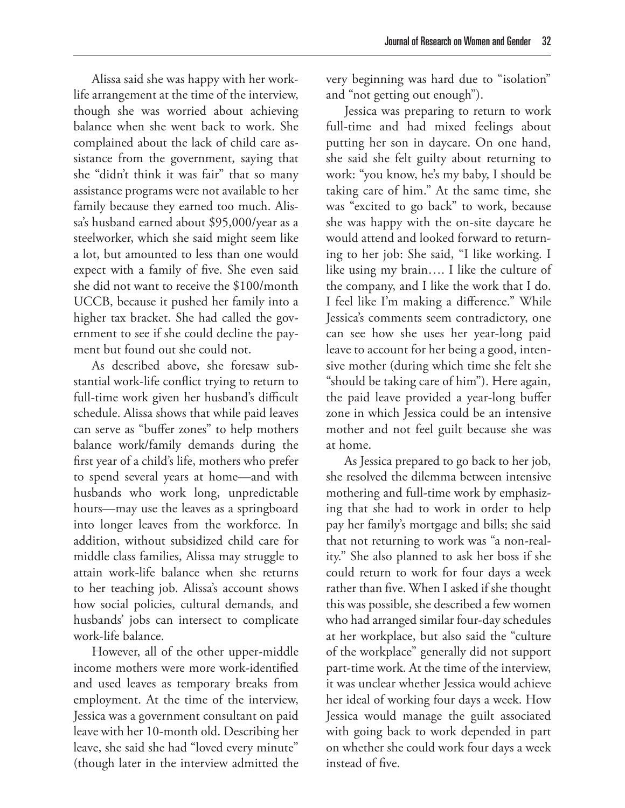Alissa said she was happy with her worklife arrangement at the time of the interview, though she was worried about achieving balance when she went back to work. She complained about the lack of child care assistance from the government, saying that she "didn't think it was fair" that so many assistance programs were not available to her family because they earned too much. Alissa's husband earned about \$95,000/year as a steelworker, which she said might seem like a lot, but amounted to less than one would expect with a family of five. She even said she did not want to receive the \$100/month UCCB, because it pushed her family into a higher tax bracket. She had called the government to see if she could decline the payment but found out she could not.

As described above, she foresaw substantial work-life conflict trying to return to full-time work given her husband's difficult schedule. Alissa shows that while paid leaves can serve as "buffer zones" to help mothers balance work/family demands during the first year of a child's life, mothers who prefer to spend several years at home—and with husbands who work long, unpredictable hours—may use the leaves as a springboard into longer leaves from the workforce. In addition, without subsidized child care for middle class families, Alissa may struggle to attain work-life balance when she returns to her teaching job. Alissa's account shows how social policies, cultural demands, and husbands' jobs can intersect to complicate work-life balance.

However, all of the other upper-middle income mothers were more work-identified and used leaves as temporary breaks from employment. At the time of the interview, Jessica was a government consultant on paid leave with her 10-month old. Describing her leave, she said she had "loved every minute" (though later in the interview admitted the very beginning was hard due to "isolation" and "not getting out enough").

Jessica was preparing to return to work full-time and had mixed feelings about putting her son in daycare. On one hand, she said she felt guilty about returning to work: "you know, he's my baby, I should be taking care of him." At the same time, she was "excited to go back" to work, because she was happy with the on-site daycare he would attend and looked forward to returning to her job: She said, "I like working. I like using my brain…. I like the culture of the company, and I like the work that I do. I feel like I'm making a difference." While Jessica's comments seem contradictory, one can see how she uses her year-long paid leave to account for her being a good, intensive mother (during which time she felt she "should be taking care of him"). Here again, the paid leave provided a year-long buffer zone in which Jessica could be an intensive mother and not feel guilt because she was at home.

As Jessica prepared to go back to her job, she resolved the dilemma between intensive mothering and full-time work by emphasizing that she had to work in order to help pay her family's mortgage and bills; she said that not returning to work was "a non-reality." She also planned to ask her boss if she could return to work for four days a week rather than five. When I asked if she thought this was possible, she described a few women who had arranged similar four-day schedules at her workplace, but also said the "culture of the workplace" generally did not support part-time work. At the time of the interview, it was unclear whether Jessica would achieve her ideal of working four days a week. How Jessica would manage the guilt associated with going back to work depended in part on whether she could work four days a week instead of five.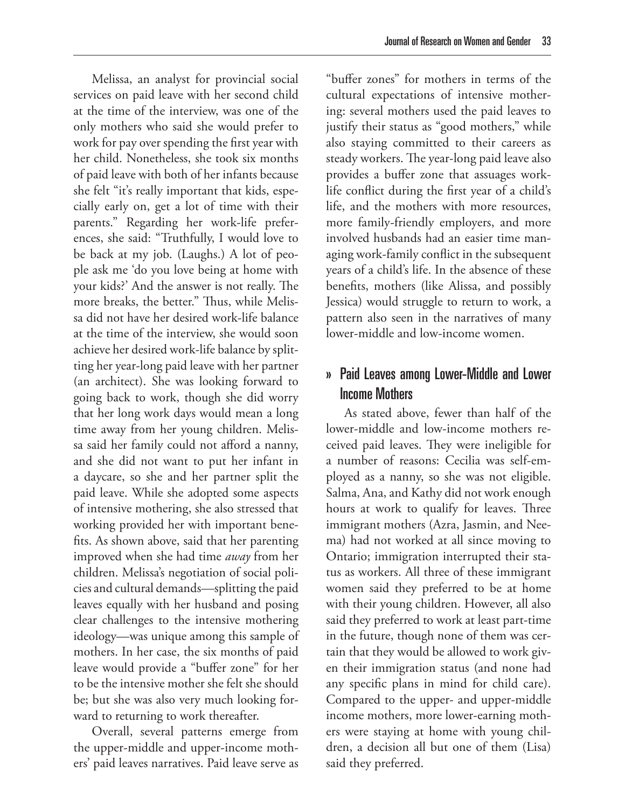Melissa, an analyst for provincial social services on paid leave with her second child at the time of the interview, was one of the only mothers who said she would prefer to work for pay over spending the first year with her child. Nonetheless, she took six months of paid leave with both of her infants because she felt "it's really important that kids, especially early on, get a lot of time with their parents." Regarding her work-life preferences, she said: "Truthfully, I would love to be back at my job. (Laughs.) A lot of people ask me 'do you love being at home with your kids?' And the answer is not really. The more breaks, the better." Thus, while Melissa did not have her desired work-life balance at the time of the interview, she would soon achieve her desired work-life balance by splitting her year-long paid leave with her partner (an architect). She was looking forward to going back to work, though she did worry that her long work days would mean a long time away from her young children. Melissa said her family could not afford a nanny, and she did not want to put her infant in a daycare, so she and her partner split the paid leave. While she adopted some aspects of intensive mothering, she also stressed that working provided her with important benefits. As shown above, said that her parenting improved when she had time *away* from her children. Melissa's negotiation of social policies and cultural demands—splitting the paid leaves equally with her husband and posing clear challenges to the intensive mothering ideology—was unique among this sample of mothers. In her case, the six months of paid leave would provide a "buffer zone" for her to be the intensive mother she felt she should be; but she was also very much looking forward to returning to work thereafter.

Overall, several patterns emerge from the upper-middle and upper-income mothers' paid leaves narratives. Paid leave serve as

"buffer zones" for mothers in terms of the cultural expectations of intensive mothering: several mothers used the paid leaves to justify their status as "good mothers," while also staying committed to their careers as steady workers. The year-long paid leave also provides a buffer zone that assuages worklife conflict during the first year of a child's life, and the mothers with more resources, more family-friendly employers, and more involved husbands had an easier time managing work-family conflict in the subsequent years of a child's life. In the absence of these benefits, mothers (like Alissa, and possibly Jessica) would struggle to return to work, a pattern also seen in the narratives of many lower-middle and low-income women.

#### » Paid Leaves among Lower-Middle and Lower Income Mothers

As stated above, fewer than half of the lower-middle and low-income mothers received paid leaves. They were ineligible for a number of reasons: Cecilia was self-employed as a nanny, so she was not eligible. Salma, Ana, and Kathy did not work enough hours at work to qualify for leaves. Three immigrant mothers (Azra, Jasmin, and Neema) had not worked at all since moving to Ontario; immigration interrupted their status as workers. All three of these immigrant women said they preferred to be at home with their young children. However, all also said they preferred to work at least part-time in the future, though none of them was certain that they would be allowed to work given their immigration status (and none had any specific plans in mind for child care). Compared to the upper- and upper-middle income mothers, more lower-earning mothers were staying at home with young children, a decision all but one of them (Lisa) said they preferred.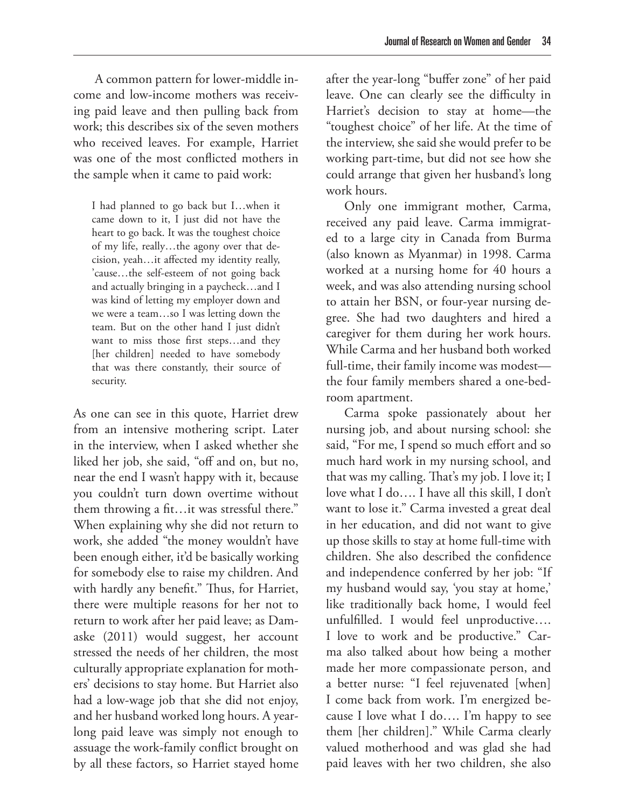A common pattern for lower-middle income and low-income mothers was receiving paid leave and then pulling back from work; this describes six of the seven mothers who received leaves. For example, Harriet was one of the most conflicted mothers in the sample when it came to paid work:

I had planned to go back but I…when it came down to it, I just did not have the heart to go back. It was the toughest choice of my life, really…the agony over that decision, yeah…it affected my identity really, 'cause…the self-esteem of not going back and actually bringing in a paycheck…and I was kind of letting my employer down and we were a team…so I was letting down the team. But on the other hand I just didn't want to miss those first steps…and they [her children] needed to have somebody that was there constantly, their source of security.

As one can see in this quote, Harriet drew from an intensive mothering script. Later in the interview, when I asked whether she liked her job, she said, "off and on, but no, near the end I wasn't happy with it, because you couldn't turn down overtime without them throwing a fit…it was stressful there." When explaining why she did not return to work, she added "the money wouldn't have been enough either, it'd be basically working for somebody else to raise my children. And with hardly any benefit." Thus, for Harriet, there were multiple reasons for her not to return to work after her paid leave; as Damaske (2011) would suggest, her account stressed the needs of her children, the most culturally appropriate explanation for mothers' decisions to stay home. But Harriet also had a low-wage job that she did not enjoy, and her husband worked long hours. A yearlong paid leave was simply not enough to assuage the work-family conflict brought on by all these factors, so Harriet stayed home after the year-long "buffer zone" of her paid leave. One can clearly see the difficulty in Harriet's decision to stay at home—the "toughest choice" of her life. At the time of the interview, she said she would prefer to be working part-time, but did not see how she could arrange that given her husband's long work hours.

Only one immigrant mother, Carma, received any paid leave. Carma immigrated to a large city in Canada from Burma (also known as Myanmar) in 1998. Carma worked at a nursing home for 40 hours a week, and was also attending nursing school to attain her BSN, or four-year nursing degree. She had two daughters and hired a caregiver for them during her work hours. While Carma and her husband both worked full-time, their family income was modest the four family members shared a one-bedroom apartment.

Carma spoke passionately about her nursing job, and about nursing school: she said, "For me, I spend so much effort and so much hard work in my nursing school, and that was my calling. That's my job. I love it; I love what I do…. I have all this skill, I don't want to lose it." Carma invested a great deal in her education, and did not want to give up those skills to stay at home full-time with children. She also described the confidence and independence conferred by her job: "If my husband would say, 'you stay at home,' like traditionally back home, I would feel unfulfilled. I would feel unproductive…. I love to work and be productive." Carma also talked about how being a mother made her more compassionate person, and a better nurse: "I feel rejuvenated [when] I come back from work. I'm energized because I love what I do…. I'm happy to see them [her children]." While Carma clearly valued motherhood and was glad she had paid leaves with her two children, she also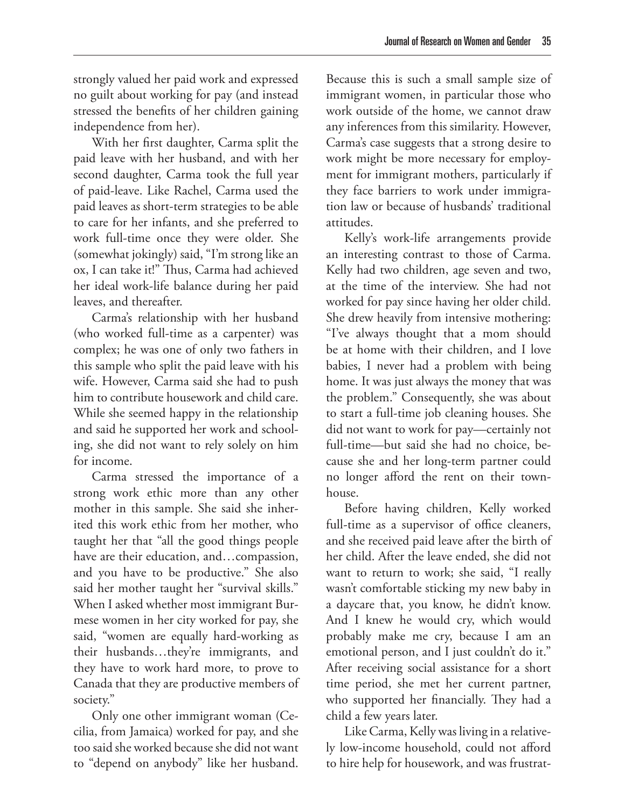strongly valued her paid work and expressed no guilt about working for pay (and instead stressed the benefits of her children gaining independence from her).

With her first daughter, Carma split the paid leave with her husband, and with her second daughter, Carma took the full year of paid-leave. Like Rachel, Carma used the paid leaves as short-term strategies to be able to care for her infants, and she preferred to work full-time once they were older. She (somewhat jokingly) said, "I'm strong like an ox, I can take it!" Thus, Carma had achieved her ideal work-life balance during her paid leaves, and thereafter.

Carma's relationship with her husband (who worked full-time as a carpenter) was complex; he was one of only two fathers in this sample who split the paid leave with his wife. However, Carma said she had to push him to contribute housework and child care. While she seemed happy in the relationship and said he supported her work and schooling, she did not want to rely solely on him for income.

Carma stressed the importance of a strong work ethic more than any other mother in this sample. She said she inherited this work ethic from her mother, who taught her that "all the good things people have are their education, and…compassion, and you have to be productive." She also said her mother taught her "survival skills." When I asked whether most immigrant Burmese women in her city worked for pay, she said, "women are equally hard-working as their husbands…they're immigrants, and they have to work hard more, to prove to Canada that they are productive members of society."

Only one other immigrant woman (Cecilia, from Jamaica) worked for pay, and she too said she worked because she did not want to "depend on anybody" like her husband.

Because this is such a small sample size of immigrant women, in particular those who work outside of the home, we cannot draw any inferences from this similarity. However, Carma's case suggests that a strong desire to work might be more necessary for employment for immigrant mothers, particularly if they face barriers to work under immigration law or because of husbands' traditional attitudes.

Kelly's work-life arrangements provide an interesting contrast to those of Carma. Kelly had two children, age seven and two, at the time of the interview. She had not worked for pay since having her older child. She drew heavily from intensive mothering: "I've always thought that a mom should be at home with their children, and I love babies, I never had a problem with being home. It was just always the money that was the problem." Consequently, she was about to start a full-time job cleaning houses. She did not want to work for pay—certainly not full-time—but said she had no choice, because she and her long-term partner could no longer afford the rent on their townhouse.

Before having children, Kelly worked full-time as a supervisor of office cleaners, and she received paid leave after the birth of her child. After the leave ended, she did not want to return to work; she said, "I really wasn't comfortable sticking my new baby in a daycare that, you know, he didn't know. And I knew he would cry, which would probably make me cry, because I am an emotional person, and I just couldn't do it." After receiving social assistance for a short time period, she met her current partner, who supported her financially. They had a child a few years later.

Like Carma, Kelly was living in a relatively low-income household, could not afford to hire help for housework, and was frustrat-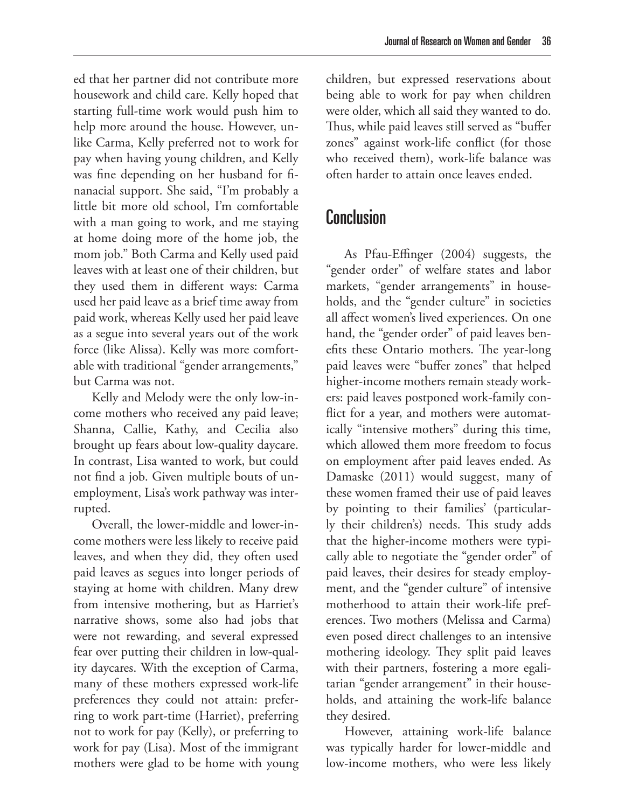ed that her partner did not contribute more housework and child care. Kelly hoped that starting full-time work would push him to help more around the house. However, unlike Carma, Kelly preferred not to work for pay when having young children, and Kelly was fine depending on her husband for finanacial support. She said, "I'm probably a little bit more old school, I'm comfortable with a man going to work, and me staying at home doing more of the home job, the mom job." Both Carma and Kelly used paid leaves with at least one of their children, but they used them in different ways: Carma used her paid leave as a brief time away from paid work, whereas Kelly used her paid leave as a segue into several years out of the work force (like Alissa). Kelly was more comfortable with traditional "gender arrangements," but Carma was not.

Kelly and Melody were the only low-income mothers who received any paid leave; Shanna, Callie, Kathy, and Cecilia also brought up fears about low-quality daycare. In contrast, Lisa wanted to work, but could not find a job. Given multiple bouts of unemployment, Lisa's work pathway was interrupted.

Overall, the lower-middle and lower-income mothers were less likely to receive paid leaves, and when they did, they often used paid leaves as segues into longer periods of staying at home with children. Many drew from intensive mothering, but as Harriet's narrative shows, some also had jobs that were not rewarding, and several expressed fear over putting their children in low-quality daycares. With the exception of Carma, many of these mothers expressed work-life preferences they could not attain: preferring to work part-time (Harriet), preferring not to work for pay (Kelly), or preferring to work for pay (Lisa). Most of the immigrant mothers were glad to be home with young

children, but expressed reservations about being able to work for pay when children were older, which all said they wanted to do. Thus, while paid leaves still served as "buffer zones" against work-life conflict (for those who received them), work-life balance was often harder to attain once leaves ended.

# Conclusion

As Pfau-Effinger (2004) suggests, the "gender order" of welfare states and labor markets, "gender arrangements" in households, and the "gender culture" in societies all affect women's lived experiences. On one hand, the "gender order" of paid leaves benefits these Ontario mothers. The year-long paid leaves were "buffer zones" that helped higher-income mothers remain steady workers: paid leaves postponed work-family conflict for a year, and mothers were automatically "intensive mothers" during this time, which allowed them more freedom to focus on employment after paid leaves ended. As Damaske (2011) would suggest, many of these women framed their use of paid leaves by pointing to their families' (particularly their children's) needs. This study adds that the higher-income mothers were typically able to negotiate the "gender order" of paid leaves, their desires for steady employment, and the "gender culture" of intensive motherhood to attain their work-life preferences. Two mothers (Melissa and Carma) even posed direct challenges to an intensive mothering ideology. They split paid leaves with their partners, fostering a more egalitarian "gender arrangement" in their households, and attaining the work-life balance they desired.

However, attaining work-life balance was typically harder for lower-middle and low-income mothers, who were less likely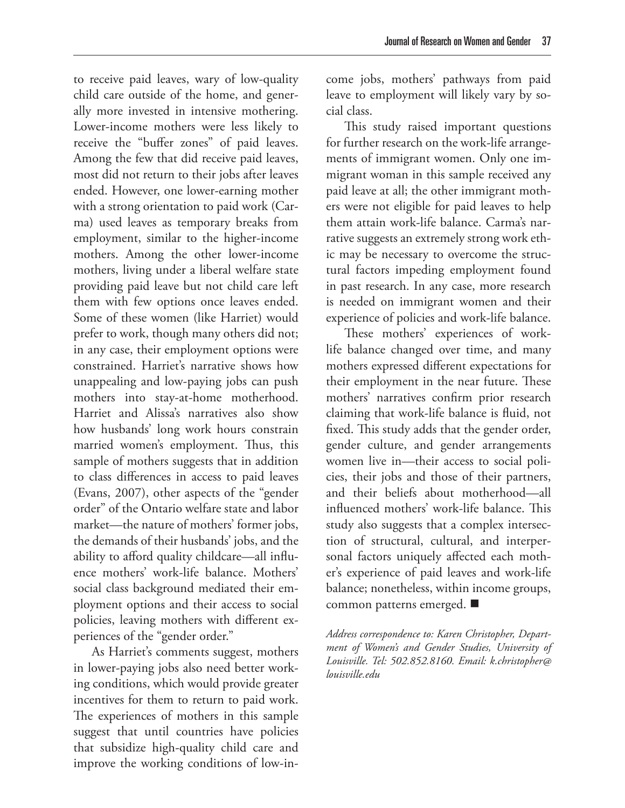to receive paid leaves, wary of low-quality child care outside of the home, and generally more invested in intensive mothering. Lower-income mothers were less likely to receive the "buffer zones" of paid leaves. Among the few that did receive paid leaves, most did not return to their jobs after leaves ended. However, one lower-earning mother with a strong orientation to paid work (Carma) used leaves as temporary breaks from employment, similar to the higher-income mothers. Among the other lower-income mothers, living under a liberal welfare state providing paid leave but not child care left them with few options once leaves ended. Some of these women (like Harriet) would prefer to work, though many others did not; in any case, their employment options were constrained. Harriet's narrative shows how unappealing and low-paying jobs can push mothers into stay-at-home motherhood. Harriet and Alissa's narratives also show how husbands' long work hours constrain married women's employment. Thus, this sample of mothers suggests that in addition to class differences in access to paid leaves (Evans, 2007), other aspects of the "gender order" of the Ontario welfare state and labor market—the nature of mothers' former jobs, the demands of their husbands' jobs, and the ability to afford quality childcare—all influence mothers' work-life balance. Mothers' social class background mediated their employment options and their access to social policies, leaving mothers with different experiences of the "gender order."

As Harriet's comments suggest, mothers in lower-paying jobs also need better working conditions, which would provide greater incentives for them to return to paid work. The experiences of mothers in this sample suggest that until countries have policies that subsidize high-quality child care and improve the working conditions of low-income jobs, mothers' pathways from paid leave to employment will likely vary by social class.

This study raised important questions for further research on the work-life arrangements of immigrant women. Only one immigrant woman in this sample received any paid leave at all; the other immigrant mothers were not eligible for paid leaves to help them attain work-life balance. Carma's narrative suggests an extremely strong work ethic may be necessary to overcome the structural factors impeding employment found in past research. In any case, more research is needed on immigrant women and their experience of policies and work-life balance.

These mothers' experiences of worklife balance changed over time, and many mothers expressed different expectations for their employment in the near future. These mothers' narratives confirm prior research claiming that work-life balance is fluid, not fixed. This study adds that the gender order, gender culture, and gender arrangements women live in—their access to social policies, their jobs and those of their partners, and their beliefs about motherhood—all influenced mothers' work-life balance. This study also suggests that a complex intersection of structural, cultural, and interpersonal factors uniquely affected each mother's experience of paid leaves and work-life balance; nonetheless, within income groups, common patterns emerged.

*Address correspondence to: Karen Christopher, Department of Women's and Gender Studies, University of Louisville. Tel: 502.852.8160. Email: k.christopher@ louisville.edu*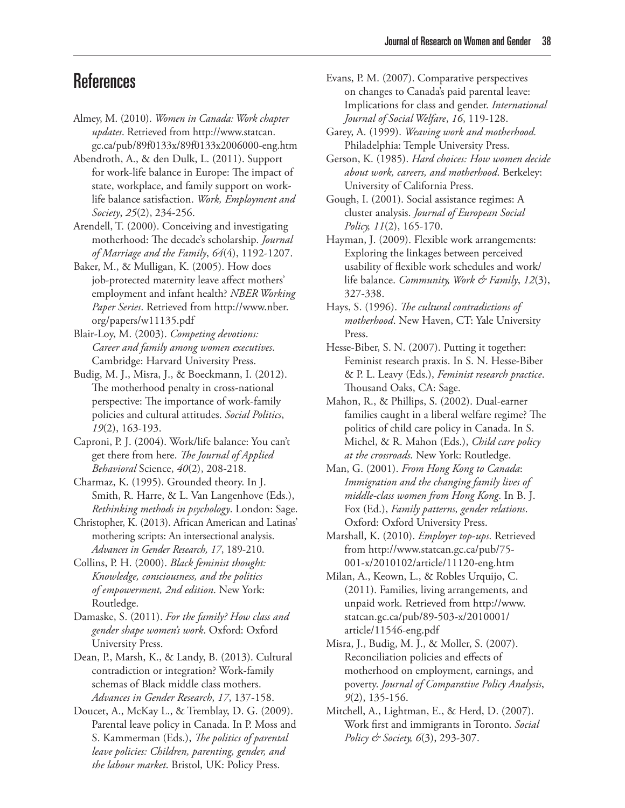# **References**

- Almey, M. (2010). *Women in Canada: Work chapter updates*. Retrieved from http://www.statcan. gc.ca/pub/89f0133x/89f0133x2006000-eng.htm
- Abendroth, A., & den Dulk, L. (2011). Support for work-life balance in Europe: The impact of state, workplace, and family support on worklife balance satisfaction. *Work, Employment and Society*, *25*(2), 234-256.
- Arendell, T. (2000). Conceiving and investigating motherhood: The decade's scholarship. *Journal of Marriage and the Family*, *64*(4), 1192-1207.
- Baker, M., & Mulligan, K. (2005). How does job-protected maternity leave affect mothers' employment and infant health? *NBER Working Paper Series*. Retrieved from http://www.nber. org/papers/w11135.pdf
- Blair-Loy, M. (2003). *Competing devotions: Career and family among women executives*. Cambridge: Harvard University Press.
- Budig, M. J., Misra, J., & Boeckmann, I. (2012). The motherhood penalty in cross-national perspective: The importance of work-family policies and cultural attitudes. *Social Politics*, *19*(2), 163-193.
- Caproni, P. J. (2004). Work/life balance: You can't get there from here. *The Journal of Applied Behavioral* Science, *40*(2), 208-218.
- Charmaz, K. (1995). Grounded theory. In J. Smith, R. Harre, & L. Van Langenhove (Eds.), *Rethinking methods in psychology*. London: Sage.
- Christopher, K. (2013). African American and Latinas' mothering scripts: An intersectional analysis. *Advances in Gender Research, 17*, 189-210.
- Collins, P. H. (2000). *Black feminist thought: Knowledge, consciousness, and the politics of empowerment, 2nd edition*. New York: Routledge.
- Damaske, S. (2011). *For the family? How class and gender shape women's work*. Oxford: Oxford University Press.
- Dean, P., Marsh, K., & Landy, B. (2013). Cultural contradiction or integration? Work-family schemas of Black middle class mothers. *Advances in Gender Research*, *17*, 137-158.
- Doucet, A., McKay L., & Tremblay, D. G. (2009). Parental leave policy in Canada. In P. Moss and S. Kammerman (Eds.), *The politics of parental leave policies: Children, parenting, gender, and the labour market*. Bristol, UK: Policy Press.
- Evans, P. M. (2007). Comparative perspectives on changes to Canada's paid parental leave: Implications for class and gender. *International Journal of Social Welfare*, *16*, 119-128.
- Garey, A. (1999). *Weaving work and motherhood.*  Philadelphia: Temple University Press.
- Gerson, K. (1985). *Hard choices: How women decide about work, careers, and motherhood*. Berkeley: University of California Press.
- Gough, I. (2001). Social assistance regimes: A cluster analysis. *Journal of European Social Policy, 11*(2), 165-170.
- Hayman, J. (2009). Flexible work arrangements: Exploring the linkages between perceived usability of flexible work schedules and work/ life balance. *Community, Work & Family*, *12*(3), 327-338.
- Hays, S. (1996). *The cultural contradictions of motherhood*. New Haven, CT: Yale University Press.
- Hesse-Biber, S. N. (2007). Putting it together: Feminist research praxis. In S. N. Hesse-Biber & P. L. Leavy (Eds.), *Feminist research practice*. Thousand Oaks, CA: Sage.
- Mahon, R., & Phillips, S. (2002). Dual-earner families caught in a liberal welfare regime? The politics of child care policy in Canada. In S. Michel, & R. Mahon (Eds.), *Child care policy at the crossroads*. New York: Routledge.
- Man, G. (2001). *From Hong Kong to Canada*: *Immigration and the changing family lives of middle-class women from Hong Kong*. In B. J. Fox (Ed.), *Family patterns, gender relations*. Oxford: Oxford University Press.
- Marshall, K. (2010). *Employer top-ups*. Retrieved from http://www.statcan.gc.ca/pub/75- 001-x/2010102/article/11120-eng.htm
- Milan, A., Keown, L., & Robles Urquijo, C. (2011). Families, living arrangements, and unpaid work. Retrieved from http://www. statcan.gc.ca/pub/89-503-x/2010001/ article/11546-eng.pdf
- Misra, J., Budig, M. J., & Moller, S. (2007). Reconciliation policies and effects of motherhood on employment, earnings, and poverty. *Journal of Comparative Policy Analysis*, *9*(2), 135-156.
- Mitchell, A., Lightman, E., & Herd, D. (2007). Work first and immigrants in Toronto. *Social Policy & Society, 6*(3), 293-307.